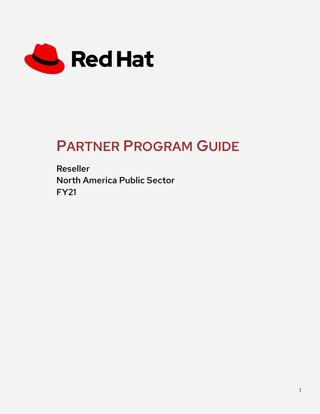

# PARTNER PROGRAM GUIDE

Reseller North America Public Sector FY21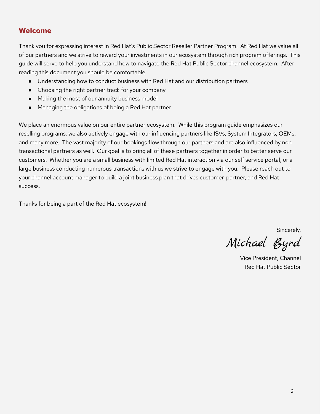# **Welcome**

Thank you for expressing interest in Red Hat's Public Sector Reseller Partner Program. At Red Hat we value all of our partners and we strive to reward your investments in our ecosystem through rich program offerings. This guide will serve to help you understand how to navigate the Red Hat Public Sector channel ecosystem. After reading this document you should be comfortable:

- Understanding how to conduct business with Red Hat and our distribution partners
- Choosing the right partner track for your company
- Making the most of our annuity business model
- Managing the obligations of being a Red Hat partner

We place an enormous value on our entire partner ecosystem. While this program guide emphasizes our reselling programs, we also actively engage with our influencing partners like ISVs, System Integrators, OEMs, and many more. The vast majority of our bookings flow through our partners and are also influenced by non transactional partners as well. Our goal is to bring all of these partners together in order to better serve our customers. Whether you are a small business with limited Red Hat interaction via our self service portal, or a large business conducting numerous transactions with us we strive to engage with you. Please reach out to your channel account manager to build a joint business plan that drives customer, partner, and Red Hat success.

Thanks for being a part of the Red Hat ecosystem!

Sincerely,

Michael Byrd

Vice President, Channel Red Hat Public Sector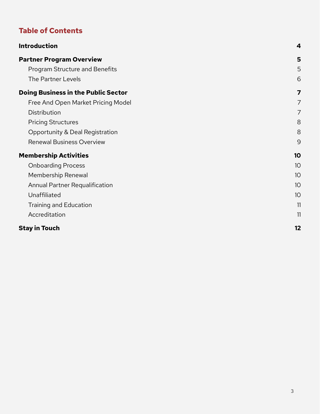# **Table of Contents**

| <b>Introduction</b>                        | 4              |
|--------------------------------------------|----------------|
| <b>Partner Program Overview</b>            | 5              |
| <b>Program Structure and Benefits</b>      | 5              |
| The Partner Levels                         | 6              |
| <b>Doing Business in the Public Sector</b> | $\overline{7}$ |
| Free And Open Market Pricing Model         | $\overline{7}$ |
| Distribution                               | $\overline{7}$ |
| <b>Pricing Structures</b>                  | 8              |
| Opportunity & Deal Registration            | 8              |
| <b>Renewal Business Overview</b>           | 9              |
| <b>Membership Activities</b>               | 10             |
| <b>Onboarding Process</b>                  | 10             |
| Membership Renewal                         | 10             |
| Annual Partner Requalification             | 10             |
| Unaffiliated                               | 10             |
| <b>Training and Education</b>              | 11             |
| Accreditation                              | 11             |
| <b>Stay in Touch</b>                       | 12             |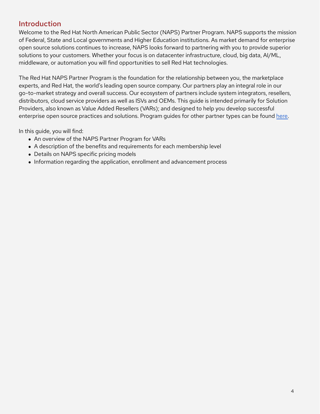# <span id="page-3-0"></span>Introduction

Welcome to the Red Hat North American Public Sector (NAPS) Partner Program. NAPS supports the mission of Federal, State and Local governments and Higher Education institutions. As market demand for enterprise open source solutions continues to increase, NAPS looks forward to partnering with you to provide superior solutions to your customers. Whether your focus is on datacenter infrastructure, cloud, big data, AI/ML, middleware, or automation you will find opportunities to sell Red Hat technologies.

The Red Hat NAPS Partner Program is the foundation for the relationship between you, the marketplace experts, and Red Hat, the world's leading open source company. Our partners play an integral role in our go-to-market strategy and overall success. Our ecosystem of partners include system integrators, resellers, distributors, cloud service providers as well as ISVs and OEMs. This guide is intended primarily for Solution Providers, also known as Value Added Resellers (VARs); and designed to help you develop successful enterprise open source practices and solutions. Program guides for other partner types can be found [here.](https://connect.redhat.com/en/programs)

In this guide, you will find:

- An overview of the NAPS Partner Program for VARs
- A description of the benefits and requirements for each membership level
- Details on NAPS specific pricing models
- Information regarding the application, enrollment and advancement process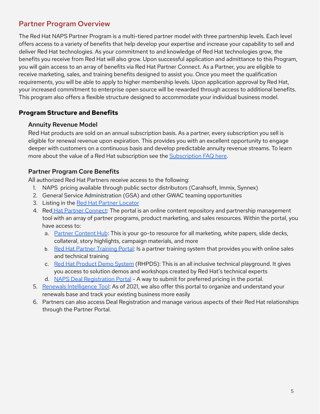# <span id="page-4-0"></span>Partner Program Overview

The Red Hat NAPS Partner Program is a multi-tiered partner model with three partnership levels. Each level offers access to a variety of benefits that help develop your expertise and increase your capability to sell and deliver Red Hat technologies. As your commitment to and knowledge of Red Hat technologies grow, the benefits you receive from Red Hat will also grow. Upon successful application and admittance to this Program, you will gain access to an array of benefits via Red Hat Partner Connect. As a Partner, you are eligible to receive marketing, sales, and training benefits designed to assist you. Once you meet the qualification requirements, you will be able to apply to higher membership levels. Upon application approval by Red Hat, your increased commitment to enterprise open source will be rewarded through access to additional benefits. This program also offers a flexible structure designed to accommodate your individual business model.

# <span id="page-4-1"></span>**Program Structure and Benefits**

#### Annuity Revenue Model

Red Hat products are sold on an annual subscription basis. As a partner, every subscription you sell is eligible for renewal revenue upon expiration. This provides you with an excellent opportunity to engage deeper with customers on a continuous basis and develop predictable annuity revenue streams. To learn more about the value of a Red Hat subscription see the [Subscription](https://www.redhat.com/en/about/subscription-model-faq#?) FAQ here.

# Partner Program Core Benefits

All authorized Red Hat Partners receive access to the following:

- 1. NAPS pricing available through public sector distributors (Carahsoft, Immix, Synnex)
- 2. General Service Administration (GSA) and other GWAC teaming opportunities
- 3. Listing in the Red Hat Partner [Locator](https://redhat.secure.force.com/finder/)
- 4. Red Hat Partner [Connect:](http://partner.redhat.com) The portal is an online content repository and partnership management tool with an array of partner programs, product marketing, and sales resources. Within the portal, you have access to:
	- a. Partner [Content](https://redhat-partner.highspot.com/) Hub: This is your go-to resource for all marketing, white papers, slide decks, collateral, story highlights, campaign materials, and more
	- b. Red Hat Partner [Training](https://connect.redhat.com/en/training/course-catalog) Portal: Is a partner training system that provides you with online sales and technical training
	- c. Red Hat [Product](https://connect.redhat.com/en/training/product-demo-system) Demo System (RHPDS): This is an all inclusive technical playground. It gives you access to solution demos and workshops created by Red Hat's technical experts
	- d. NAPS Deal [Registration](https://partnercenter.redhat.com/RegistrationHome) Portal A way to submit for preferred pricing in the portal.
- 5. Renewals [Intelligence](https://www.redhat.com/en/blog/red-hat-introduces-intelligent-sales-tool-fuel-growth-channel-partners) Tool: As of 2021, we also offer this portal to organize and understand your renewals base and track your existing business more easily
- 6. Partners can also access Deal Registration and manage various aspects of their Red Hat relationships through the Partner Portal.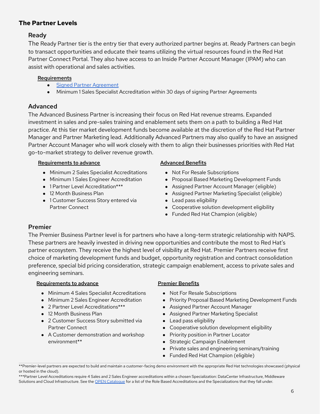# <span id="page-5-0"></span>**The Partner Levels**

# Ready

The Ready Partner tier is the entry tier that every authorized partner begins at. Ready Partners can begin to transact opportunities and educate their teams utilizing the virtual resources found in the Red Hat Partner Connect Portal. They also have access to an Inside Partner Account Manager (IPAM) who can assist with operational and sales activities.

#### Requirements

- **•** Signed Partner [Agreement](https://www.redhat.com/en/about/red-hat-partner-agreements)
- Minimum 1 Sales Specialist Accreditation within 30 days of signing Partner Agreements

# Advanced

The Advanced Business Partner is increasing their focus on Red Hat revenue streams. Expanded investment in sales and pre-sales training and enablement sets them on a path to building a Red Hat practice. At this tier market development funds become available at the discretion of the Red Hat Partner Manager and Partner Marketing lead. Additionally Advanced Partners may also qualify to have an assigned Partner Account Manager who will work closely with them to align their businesses priorities with Red Hat go-to-market strategy to deliver revenue growth.

#### Requirements to advance

- Minimum 2 Sales Specialist Accreditations
- Minimum 1 Sales Engineer Accreditation
- 1 Partner Level Accreditation\*\*\*
- 12 Month Business Plan
- 1 Customer Success Story entered via Partner Connect

#### Advanced Benefits

- Not For Resale Subscriptions
- Proposal Based Marketing Development Funds
- Assigned Partner Account Manager (eligible)
- Assigned Partner Marketing Specialist (eligible)
- Lead pass eligibility
- Cooperative solution development eligibility
- Funded Red Hat Champion (eligible)

# Premier

The Premier Business Partner level is for partners who have a long-term strategic relationship with NAPS. These partners are heavily invested in driving new opportunities and contribute the most to Red Hat's partner ecosystem. They receive the highest level of visibility at Red Hat. Premier Partners receive first choice of marketing development funds and budget, opportunity registration and contract consolidation preference, special bid pricing consideration, strategic campaign enablement, access to private sales and engineering seminars.

#### Requirements to advance

- Minimum 4 Sales Specialist Accreditations
- Minimum 2 Sales Engineer Accreditation
- 2 Partner Level Accreditations\*\*\*
- 12 Month Business Plan
- 2 Customer Success Story submitted via Partner Connect
- A Customer demonstration and workshop environment\*\*

#### Premier Benefits

- Not For Resale Subscriptions
- Priority Proposal Based Marketing Development Funds
- Assigned Partner Account Manager
- Assigned Partner Marketing Specialist
- Lead pass eligibility
- Cooperative solution development eligibility
- Priority position in Partner Locator
- Strategic Campaign Enablement
- Private sales and engineering seminars/training
- Funded Red Hat Champion (eligible)

\*\*\*Partner Level Accreditations require 4 Sales and 2 Sales Engineer accreditations within a chosen Specialization: DataCenter Infrastructure, Middleware Solutions and Cloud Infrastructure. See the OPEN [Catalogue](https://connect.redhat.com/training/course-catalog) for a list of the Role Based Accreditations and the Specializations that they fall under.

<sup>\*\*</sup>Premier-level partners are expected to build and maintain a customer-facing demo environment with the appropriate Red Hat technologies showcased (physical or hosted in the cloud).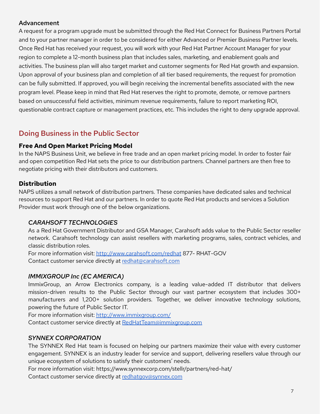# Advancement

A request for a program upgrade must be submitted through the Red Hat Connect for Business Partners Portal and to your partner manager in order to be considered for either Advanced or Premier Business Partner levels. Once Red Hat has received your request, you will work with your Red Hat Partner Account Manager for your region to complete a 12-month business plan that includes sales, marketing, and enablement goals and activities. The business plan will also target market and customer segments for Red Hat growth and expansion. Upon approval of your business plan and completion of all tier based requirements, the request for promotion can be fully submitted. If approved, you will begin receiving the incremental benefits associated with the new program level. Please keep in mind that Red Hat reserves the right to promote, demote, or remove partners based on unsuccessful field activities, minimum revenue requirements, failure to report marketing ROI, questionable contract capture or management practices, etc. This includes the right to deny upgrade approval.

# <span id="page-6-0"></span>Doing Business in the Public Sector

#### <span id="page-6-1"></span>**Free And Open Market Pricing Model**

In the NAPS Business Unit, we believe in free trade and an open market pricing model. In order to foster fair and open competition Red Hat sets the price to our distribution partners. Channel partners are then free to negotiate pricing with their distributors and customers.

# <span id="page-6-2"></span>**Distribution**

NAPS utilizes a small network of distribution partners. These companies have dedicated sales and technical resources to support Red Hat and our partners. In order to quote Red Hat products and services a Solution Provider must work through one of the below organizations.

# *CARAHSOFT TECHNOLOGIES*

As a Red Hat Government Distributor and GSA Manager, Carahsoft adds value to the Public Sector reseller network. Carahsoft technology can assist resellers with marketing programs, sales, contract vehicles, and classic distribution roles.

For more information visit: <http://www.carahsoft.com/redhat> 877- RHAT-GOV Contact customer service directly at [redhat@carahsoft.com](mailto:redhat@carahsoft.com)

# *IMMIXGROUP Inc (EC AMERICA)*

ImmixGroup, an Arrow Electronics company, is a leading value-added IT distributor that delivers mission-driven results to the Public Sector through our vast partner ecosystem that includes 300+ manufacturers and 1,200+ solution providers. Together, we deliver innovative technology solutions, powering the future of Public Sector IT.

For more information visit: <http://www.immixgroup.com/>

Contact customer service directly at [RedHatTeam@immixgroup.com](mailto:RedHatTeam@immixgroup.com)

#### *SYNNEX CORPORATION*

The SYNNEX Red Hat team is focused on helping our partners maximize their value with every customer engagement. SYNNEX is an industry leader for service and support, delivering resellers value through our unique ecosystem of solutions to satisfy their customers' needs.

For more information visit: https://www.synnexcorp.com/stellr/partners/red-hat/

Contact customer service directly at [redhatgov@synnex.com](mailto:redhatgov@synnex.com)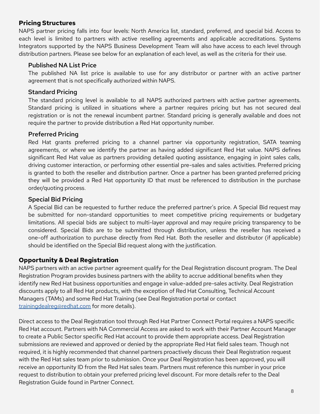# <span id="page-7-0"></span>**Pricing Structures**

NAPS partner pricing falls into four levels: North America list, standard, preferred, and special bid. Access to each level is limited to partners with active reselling agreements and applicable accreditations. Systems Integrators supported by the NAPS Business Development Team will also have access to each level through distribution partners. Please see below for an explanation of each level, as well as the criteria for their use.

#### Published NA List Price

The published NA list price is available to use for any distributor or partner with an active partner agreement that is not specifically authorized within NAPS.

# Standard Pricing

The standard pricing level is available to all NAPS authorized partners with active partner agreements. Standard pricing is utilized in situations where a partner requires pricing but has not secured deal registration or is not the renewal incumbent partner. Standard pricing is generally available and does not require the partner to provide distribution a Red Hat opportunity number.

#### Preferred Pricing

Red Hat grants preferred pricing to a channel partner via opportunity registration, SATA teaming agreements, or where we identify the partner as having added significant Red Hat value. NAPS defines significant Red Hat value as partners providing detailed quoting assistance, engaging in joint sales calls, driving customer interaction, or performing other essential pre-sales and sales activities. Preferred pricing is granted to both the reseller and distribution partner. Once a partner has been granted preferred pricing they will be provided a Red Hat opportunity ID that must be referenced to distribution in the purchase order/quoting process.

#### Special Bid Pricing

A Special Bid can be requested to further reduce the preferred partner's price. A Special Bid request may be submitted for non-standard opportunities to meet competitive pricing requirements or budgetary limitations. All special bids are subject to multi-layer approval and may require pricing transparency to be considered. Special Bids are to be submitted through distribution, unless the reseller has received a one-off authorization to purchase directly from Red Hat. Both the reseller and distributor (if applicable) should be identified on the Special Bid request along with the justification.

# <span id="page-7-1"></span>**Opportunity & Deal Registration**

NAPS partners with an active partner agreement qualify for the Deal Registration discount program. The Deal Registration Program provides business partners with the ability to accrue additional benefits when they identify new Red Hat business opportunities and engage in value-added pre-sales activity. Deal Registration discounts apply to all Red Hat products, with the exception of Red Hat Consulting, Technical Account Managers (TAMs) and some Red Hat Training (see Deal Registration portal or contact [trainingdealreg@redhat.com](mailto:trainingdealreg@redhat.com) for more details).

Direct access to the Deal Registration tool through Red Hat Partner Connect Portal requires a NAPS specific Red Hat account. Partners with NA Commercial Access are asked to work with their Partner Account Manager to create a Public Sector specific Red Hat account to provide them appropriate access. Deal Registration submissions are reviewed and approved or denied by the appropriate Red Hat field sales team. Though not required, it is highly recommended that channel partners proactively discuss their Deal Registration request with the Red Hat sales team prior to submission. Once your Deal Registration has been approved, you will receive an opportunity ID from the Red Hat sales team. Partners must reference this number in your price request to distribution to obtain your preferred pricing level discount. For more details refer to the Deal Registration Guide found in Partner Connect.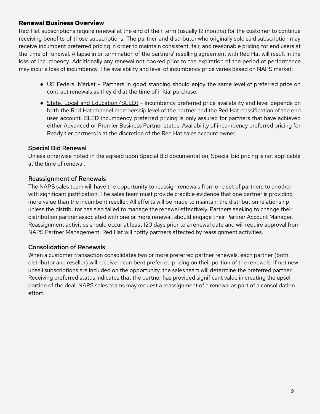# <span id="page-8-0"></span>**Renewal Business Overview**

Red Hat subscriptions require renewal at the end of their term (usually 12 months) for the customer to continue receiving benefits of those subscriptions. The partner and distributor who originally sold said subscription may receive incumbent preferred pricing in order to maintain consistent, fair, and reasonable pricing for end users at the time of renewal. A lapse in or termination of the partners' reselling agreement with Red Hat will result in the loss of incumbency. Additionally any renewal not booked prior to the expiration of the period of performance may incur a loss of incumbency. The availability and level of incumbency price varies based on NAPS market:

- US Federal Market Partners in good standing should enjoy the same level of preferred price on contract renewals as they did at the time of initial purchase.
- State, Local and Education (SLED) Incumbency preferred price availability and level depends on both the Red Hat channel membership level of the partner and the Red Hat classification of the end user account. SLED incumbency preferred pricing is only assured for partners that have achieved either Advanced or Premier Business Partner status. Availability of incumbency preferred pricing for Ready tier partners is at the discretion of the Red Hat sales account owner.

#### Special Bid Renewal

Unless otherwise noted in the agreed upon Special Bid documentation, Special Bid pricing is not applicable at the time of renewal.

#### Reassignment of Renewals

The NAPS sales team will have the opportunity to reassign renewals from one set of partners to another with significant justification. The sales team must provide credible evidence that one partner is providing more value than the incumbent reseller. All efforts will be made to maintain the distribution relationship unless the distributor has also failed to manage the renewal effectively. Partners seeking to change their distribution partner associated with one or more renewal, should engage their Partner Account Manager. Reassignment activities should occur at least 120 days prior to a renewal date and will require approval from NAPS Partner Management. Red Hat will notify partners affected by reassignment activities.

# Consolidation of Renewals

When a customer transaction consolidates two or more preferred partner renewals, each partner (both distributor and reseller) will receive incumbent preferred pricing on their portion of the renewals. If net new upsell subscriptions are included on the opportunity, the sales team will determine the preferred partner. Receiving preferred status indicates that the partner has provided significant value in creating the upsell portion of the deal. NAPS sales teams may request a reassignment of a renewal as part of a consolidation effort.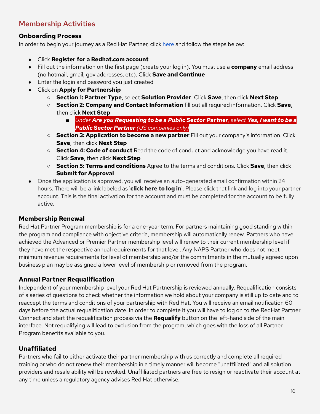# <span id="page-9-0"></span>Membership Activities

# <span id="page-9-1"></span>**Onboarding Process**

In order to begin your journey as a Red Hat Partner, click [here](https://redhat.secure.force.com/partner/PartnerAccess?action%3Dapply%26program%3DPARTNER_TYPE.RESELLER&sa=D&ust=1596134179904000&usg=AFQjCNHg7RaGJjdthF6jLDyF8L6IN2K5-w) and follow the steps below:

- Click **Register for a [Redhat.com](http://redhat.com/) account**
- Fill out the information on the first page (create your log in). You must use a **company** email address (no hotmail, gmail, gov addresses, etc). Click **Save and Continue**
- Enter the login and password you just created
- Click on **Apply for Partnership**
	- **Section 1: Partner Type**, select **Solution Provider**. Click **Save**, then click **Next Step**
	- **Section 2: Company and Contact Information** fill out all required information. Click **Save**, then click **Next Step**
		- *Under Are you Requesting to be a Public Sector Partner, select Yes, I want to be a Public Sector Partner (US companies only)*
	- **Section 3: Application to become a new partner** Fill out your company's information. Click **Save**, then click **Next Step**
	- **Section 4: Code of conduct** Read the code of conduct and acknowledge you have read it. Click **Save**, then click **Next Step**
	- **Section 5: Terms and conditions** Agree to the terms and conditions. Click **Save**, then click **Submit for Approval**
- Once the application is approved, you will receive an auto-generated email confirmation within 24 hours. There will be a link labeled as '**click here to log in**'. Please click that link and log into your partner account. This is the final activation for the account and must be completed for the account to be fully active.

# <span id="page-9-2"></span>**Membership Renewal**

Red Hat Partner Program membership is for a one-year term. For partners maintaining good standing within the program and compliance with objective criteria, membership will automatically renew. Partners who have achieved the Advanced or Premier Partner membership level will renew to their current membership level if they have met the respective annual requirements for that level. Any NAPS Partner who does not meet minimum revenue requirements for level of membership and/or the commitments in the mutually agreed upon business plan may be assigned a lower level of membership or removed from the program.

# <span id="page-9-3"></span>**Annual Partner Requalification**

Independent of your membership level your Red Hat Partnership is reviewed annually. Requalification consists of a series of questions to check whether the information we hold about your company is still up to date and to reaccept the terms and conditions of your partnership with Red Hat. You will receive an email notification 60 days before the actual requalification date. In order to complete it you will have to log on to the RedHat Partner Connect and start the requalification process via the **Requalify** button on the left-hand side of the main interface. Not requalifying will lead to exclusion from the program, which goes with the loss of all Partner Program benefits available to you.

# <span id="page-9-4"></span>**Unaffiliated**

Partners who fail to either activate their partner membership with us correctly and complete all required training or who do not renew their membership in a timely manner will become "unaffiliated" and all solution providers and resale ability will be revoked. Unaffiliated partners are free to resign or reactivate their account at any time unless a regulatory agency advises Red Hat otherwise.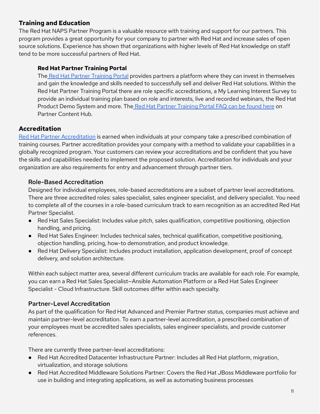# <span id="page-10-0"></span>**Training and Education**

The Red Hat NAPS Partner Program is a valuable resource with training and support for our partners. This program provides a great opportunity for your company to partner with Red Hat and increase sales of open source solutions. Experience has shown that organizations with higher levels of Red Hat knowledge on staff tend to be more successful partners of Red Hat.

#### **Red Hat Partner Training Portal**

The Red Hat Partner [Training](https://cdnapisec.kaltura.com/html5/html5lib/v2.90/mwEmbedFrame.php/p/2300461/uiconf_id/42569541/entry_id/1_b0ror3ux?wid=_2300461&iframeembed=true&playerId=kaltura_player_1615864134&entry_id=1_b0ror3ux) Portal provides partners a platform where they can invest in themselves and gain the knowledge and skills needed to successfully sell and deliver Red Hat solutions. Within the Red Hat Partner Training Portal there are role specific accreditations, a My Learning Interest Survey to provide an individual training plan based on role and interests, live and recorded webinars, the Red Hat Product Demo System and more. The Red Hat Partner [Training](https://app.highspot.com/items/5c8197b6429d7b12d13b170f) Portal FAQ can be found here on Partner Content Hub.

# <span id="page-10-1"></span>**Accreditation**

Red Hat Partner [Accreditation](https://connect.redhat.com/en/training/accreditation) is earned when individuals at your company take a prescribed combination of training courses. Partner accreditation provides your company with a method to validate your capabilities in a globally recognized program. Your customers can review your accreditations and be confident that you have the skills and capabilities needed to implement the proposed solution. Accreditation for individuals and your organization are also requirements for entry and advancement through partner tiers.

#### Role-Based Accreditation

Designed for individual employees, role-based accreditations are a subset of partner level accreditations. There are three accredited roles: sales specialist, sales engineer specialist, and delivery specialist. You need to complete all of the courses in a role-based curriculum track to earn recognition as an accredited Red Hat Partner Specialist.

- Red Hat Sales Specialist: Includes value pitch, sales qualification, competitive positioning, objection handling, and pricing.
- Red Hat Sales Engineer: Includes technical sales, technical qualification, competitive positioning, objection handling, pricing, how-to demonstration, and product knowledge.
- Red Hat Delivery Specialist: Includes product installation, application development, proof of concept delivery, and solution architecture.

Within each subject matter area, several different curriculum tracks are available for each role. For example, you can earn a Red Hat Sales Specialist—Ansible Automation Platform or a Red Hat Sales Engineer Specialist - Cloud Infrastructure. Skill outcomes differ within each specialty.

# Partner-Level Accreditation

As part of the qualification for Red Hat Advanced and Premier Partner status, companies must achieve and maintain partner-level accreditation. To earn a partner-level accreditation, a prescribed combination of your employees must be accredited sales specialists, sales engineer specialists, and provide customer references.

There are currently three partner-level accreditations:

- Red Hat Accredited Datacenter Infrastructure Partner: Includes all Red Hat platform, migration, virtualization, and storage solutions
- Red Hat Accredited Middleware Solutions Partner: Covers the Red Hat JBoss Middleware portfolio for use in building and integrating applications, as well as automating business processes